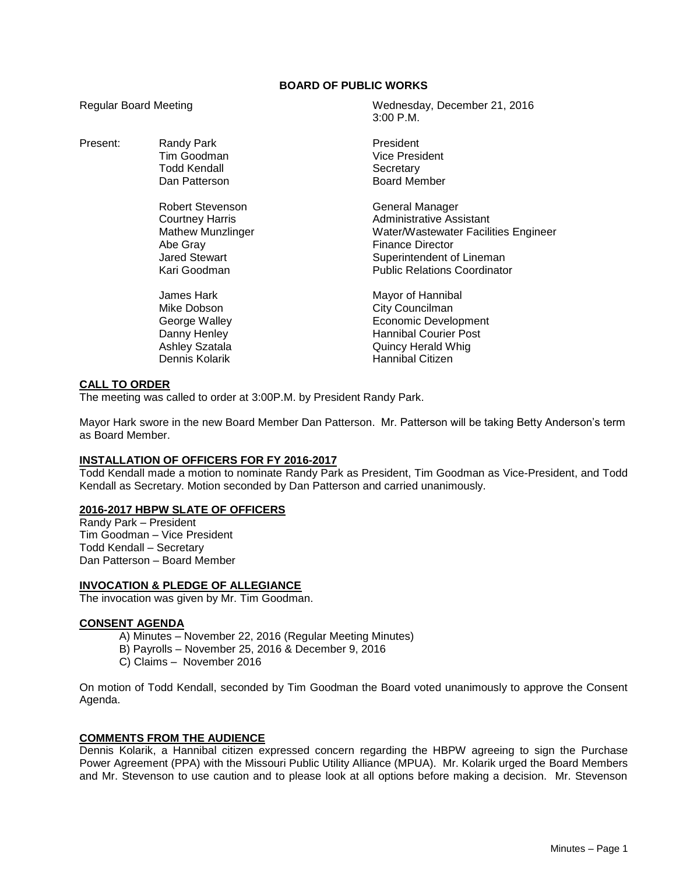# **BOARD OF PUBLIC WORKS**

Present: Randy Park **President** 

Robert Stevenson General Manager Abe Gray **Finance Director** 

Regular Board Meeting Mateur Meeting Wednesday, December 21, 2016 3:00 P.M.

> Tim Goodman **Vice President** Todd Kendall **Secretary** Dan Patterson **Board Member**

Courtney Harris<br>
Mathew Munzlinger<br>
Mater/Wastewater Facili Water/Wastewater Facilities Engineer Jared Stewart **Superintendent of Lineman**<br>
Superintendent of Lineman<br>
Superintendent of Lineman<br>
Public Relations Coordinato **Public Relations Coordinator** 

James Hark Mayor of Hannibal Mike Dobson **City Councilman** George Walley **Example 20** Economic Development Danny Henley **Hannibal Courier Post** Ashley Szatala **Ashley Szatala Calculated Ashley Szatala Quincy Herald Whig** Dennis Kolarik **Hannibal Citizen** 

## **CALL TO ORDER**

The meeting was called to order at 3:00P.M. by President Randy Park.

Mayor Hark swore in the new Board Member Dan Patterson. Mr. Patterson will be taking Betty Anderson's term as Board Member.

#### **INSTALLATION OF OFFICERS FOR FY 2016-2017**

Todd Kendall made a motion to nominate Randy Park as President, Tim Goodman as Vice-President, and Todd Kendall as Secretary. Motion seconded by Dan Patterson and carried unanimously.

## **2016-2017 HBPW SLATE OF OFFICERS**

Randy Park – President Tim Goodman – Vice President Todd Kendall – Secretary Dan Patterson – Board Member

## **INVOCATION & PLEDGE OF ALLEGIANCE**

The invocation was given by Mr. Tim Goodman.

#### **CONSENT AGENDA**

- A) Minutes November 22, 2016 (Regular Meeting Minutes)
- B) Payrolls November 25, 2016 & December 9, 2016
- C) Claims November 2016

On motion of Todd Kendall, seconded by Tim Goodman the Board voted unanimously to approve the Consent Agenda.

## **COMMENTS FROM THE AUDIENCE**

Dennis Kolarik, a Hannibal citizen expressed concern regarding the HBPW agreeing to sign the Purchase Power Agreement (PPA) with the Missouri Public Utility Alliance (MPUA). Mr. Kolarik urged the Board Members and Mr. Stevenson to use caution and to please look at all options before making a decision. Mr. Stevenson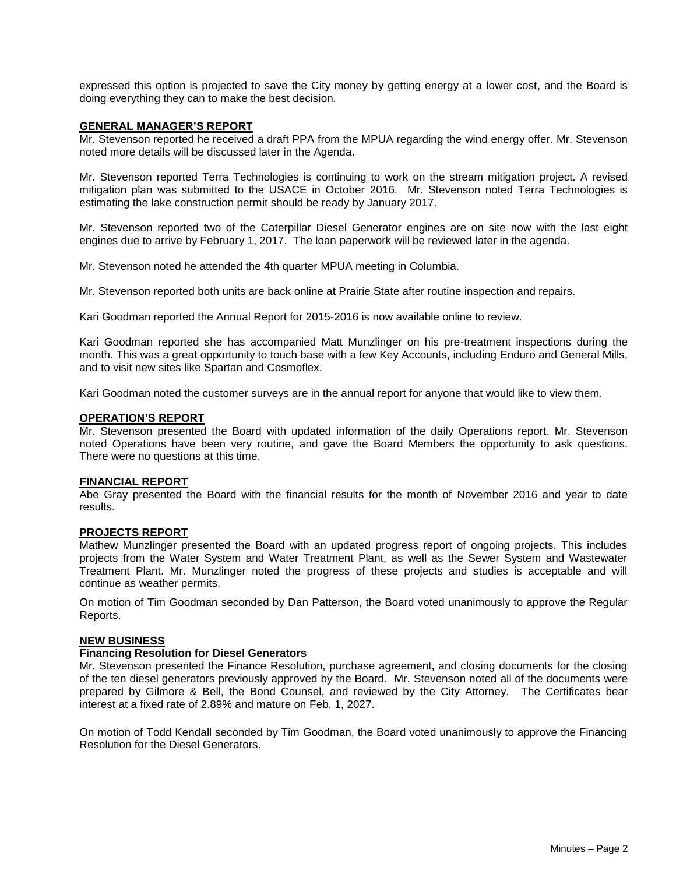expressed this option is projected to save the City money by getting energy at a lower cost, and the Board is doing everything they can to make the best decision.

#### **GENERAL MANAGER'S REPORT**

Mr. Stevenson reported he received a draft PPA from the MPUA regarding the wind energy offer. Mr. Stevenson noted more details will be discussed later in the Agenda.

Mr. Stevenson reported Terra Technologies is continuing to work on the stream mitigation project. A revised mitigation plan was submitted to the USACE in October 2016. Mr. Stevenson noted Terra Technologies is estimating the lake construction permit should be ready by January 2017.

Mr. Stevenson reported two of the Caterpillar Diesel Generator engines are on site now with the last eight engines due to arrive by February 1, 2017. The loan paperwork will be reviewed later in the agenda.

Mr. Stevenson noted he attended the 4th quarter MPUA meeting in Columbia.

Mr. Stevenson reported both units are back online at Prairie State after routine inspection and repairs.

Kari Goodman reported the Annual Report for 2015-2016 is now available online to review.

Kari Goodman reported she has accompanied Matt Munzlinger on his pre-treatment inspections during the month. This was a great opportunity to touch base with a few Key Accounts, including Enduro and General Mills, and to visit new sites like Spartan and Cosmoflex.

Kari Goodman noted the customer surveys are in the annual report for anyone that would like to view them.

## **OPERATION'S REPORT**

Mr. Stevenson presented the Board with updated information of the daily Operations report. Mr. Stevenson noted Operations have been very routine, and gave the Board Members the opportunity to ask questions. There were no questions at this time.

#### **FINANCIAL REPORT**

Abe Gray presented the Board with the financial results for the month of November 2016 and year to date results.

#### **PROJECTS REPORT**

Mathew Munzlinger presented the Board with an updated progress report of ongoing projects. This includes projects from the Water System and Water Treatment Plant, as well as the Sewer System and Wastewater Treatment Plant. Mr. Munzlinger noted the progress of these projects and studies is acceptable and will continue as weather permits.

On motion of Tim Goodman seconded by Dan Patterson, the Board voted unanimously to approve the Regular Reports.

#### **NEW BUSINESS**

#### **Financing Resolution for Diesel Generators**

Mr. Stevenson presented the Finance Resolution, purchase agreement, and closing documents for the closing of the ten diesel generators previously approved by the Board. Mr. Stevenson noted all of the documents were prepared by Gilmore & Bell, the Bond Counsel, and reviewed by the City Attorney. The Certificates bear interest at a fixed rate of 2.89% and mature on Feb. 1, 2027.

On motion of Todd Kendall seconded by Tim Goodman, the Board voted unanimously to approve the Financing Resolution for the Diesel Generators.